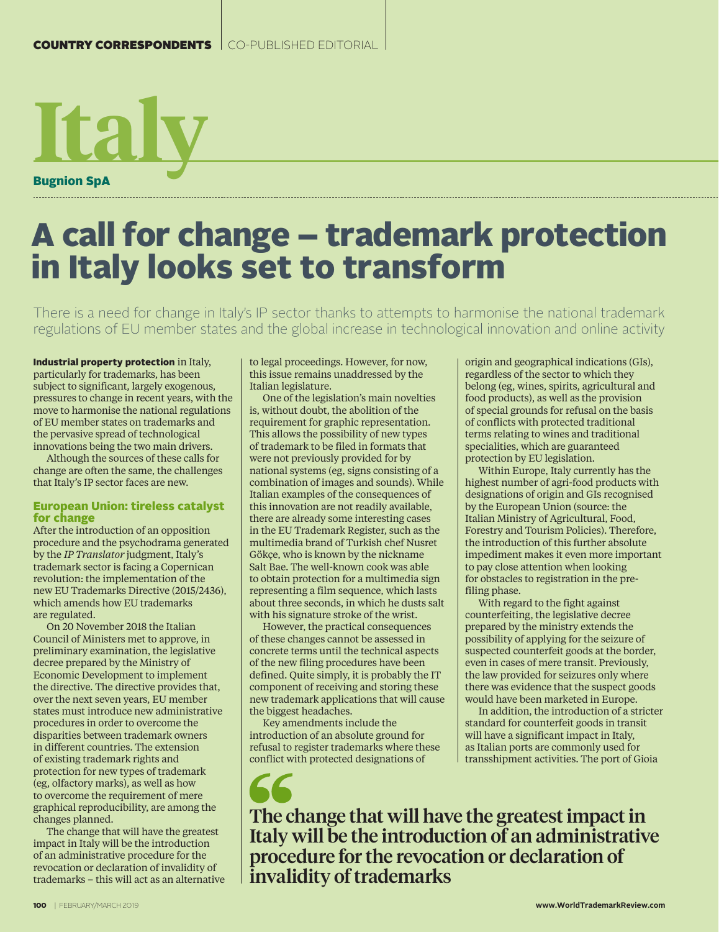# **Italy** Bugnion SpA

# A call for change – trademark protection in Italy looks set to transform

There is a need for change in Italy's IP sector thanks to attempts to harmonise the national trademark regulations of EU member states and the global increase in technological innovation and online activity

Industrial property protection in Italy, particularly for trademarks, has been subject to significant, largely exogenous, pressures to change in recent years, with the move to harmonise the national regulations of EU member states on trademarks and the pervasive spread of technological innovations being the two main drivers.

Although the sources of these calls for change are often the same, the challenges that Italy's IP sector faces are new.

## European Union: tireless catalyst for change

After the introduction of an opposition procedure and the psychodrama generated by the *IP Translator* judgment, Italy's trademark sector is facing a Copernican revolution: the implementation of the new EU Trademarks Directive (2015/2436), which amends how EU trademarks are regulated.

On 20 November 2018 the Italian Council of Ministers met to approve, in preliminary examination, the legislative decree prepared by the Ministry of Economic Development to implement the directive. The directive provides that, over the next seven years, EU member states must introduce new administrative procedures in order to overcome the disparities between trademark owners in different countries. The extension of existing trademark rights and protection for new types of trademark (eg, olfactory marks), as well as how to overcome the requirement of mere graphical reproducibility, are among the changes planned.

The change that will have the greatest impact in Italy will be the introduction of an administrative procedure for the revocation or declaration of invalidity of trademarks – this will act as an alternative to legal proceedings. However, for now, this issue remains unaddressed by the Italian legislature.

One of the legislation's main novelties is, without doubt, the abolition of the requirement for graphic representation. This allows the possibility of new types of trademark to be filed in formats that were not previously provided for by national systems (eg, signs consisting of a combination of images and sounds). While Italian examples of the consequences of this innovation are not readily available, there are already some interesting cases in the EU Trademark Register, such as the multimedia brand of Turkish chef Nusret Gökçe, who is known by the nickname Salt Bae. The well-known cook was able to obtain protection for a multimedia sign representing a film sequence, which lasts about three seconds, in which he dusts salt with his signature stroke of the wrist.

However, the practical consequences of these changes cannot be assessed in concrete terms until the technical aspects of the new filing procedures have been defined. Quite simply, it is probably the IT component of receiving and storing these new trademark applications that will cause the biggest headaches.

Key amendments include the introduction of an absolute ground for refusal to register trademarks where these conflict with protected designations of

origin and geographical indications (GIs), regardless of the sector to which they belong (eg, wines, spirits, agricultural and food products), as well as the provision of special grounds for refusal on the basis of conflicts with protected traditional terms relating to wines and traditional specialities, which are guaranteed protection by EU legislation.

Within Europe, Italy currently has the highest number of agri-food products with designations of origin and GIs recognised by the European Union (source: the Italian Ministry of Agricultural, Food, Forestry and Tourism Policies). Therefore, the introduction of this further absolute impediment makes it even more important to pay close attention when looking for obstacles to registration in the prefiling phase.

With regard to the fight against counterfeiting, the legislative decree prepared by the ministry extends the possibility of applying for the seizure of suspected counterfeit goods at the border, even in cases of mere transit. Previously, the law provided for seizures only where there was evidence that the suspect goods would have been marketed in Europe.

In addition, the introduction of a stricter standard for counterfeit goods in transit will have a significant impact in Italy, as Italian ports are commonly used for transshipment activities. The port of Gioia

The change that will have the greatest impact in Italy will be the introduction of an administrative procedure for the revocation or declaration of invalidity of trademarks